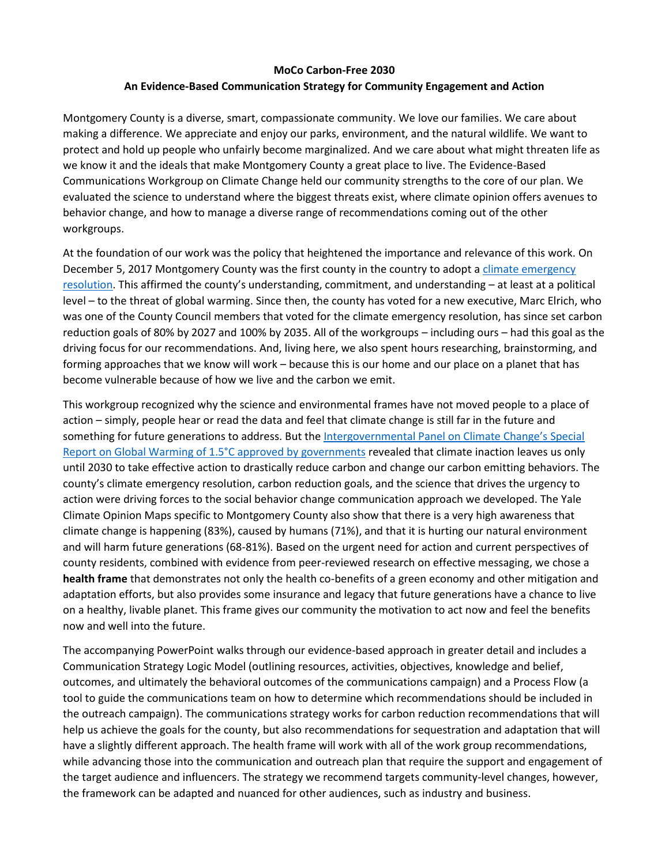# **MoCo Carbon-Free 2030 An Evidence-Based Communication Strategy for Community Engagement and Action**

Montgomery County is a diverse, smart, compassionate community. We love our families. We care about making a difference. We appreciate and enjoy our parks, environment, and the natural wildlife. We want to protect and hold up people who unfairly become marginalized. And we care about what might threaten life as we know it and the ideals that make Montgomery County a great place to live. The Evidence-Based Communications Workgroup on Climate Change held our community strengths to the core of our plan. We evaluated the science to understand where the biggest threats exist, where climate opinion offers avenues to behavior change, and how to manage a diverse range of recommendations coming out of the other workgroups.

At the foundation of our work was the policy that heightened the importance and relevance of this work. On December 5, 2017 Montgomery County was the first county in the country to adopt a [climate emergency](https://www.montgomerycountymd.gov/green/Resources/Files/climate/Montgomery-County-Climate-Action-Resolution.pdf)  [resolution.](https://www.montgomerycountymd.gov/green/Resources/Files/climate/Montgomery-County-Climate-Action-Resolution.pdf) This affirmed the county's understanding, commitment, and understanding – at least at a political level – to the threat of global warming. Since then, the county has voted for a new executive, Marc Elrich, who was one of the County Council members that voted for the climate emergency resolution, has since set carbon reduction goals of 80% by 2027 and 100% by 2035. All of the workgroups – including ours – had this goal as the driving focus for our recommendations. And, living here, we also spent hours researching, brainstorming, and forming approaches that we know will work – because this is our home and our place on a planet that has become vulnerable because of how we live and the carbon we emit.

This workgroup recognized why the science and environmental frames have not moved people to a place of action – simply, people hear or read the data and feel that climate change is still far in the future and something for future generations to address. But the [Intergovernmental Panel on Climate Change's](https://www.ipcc.ch/2018/10/08/summary-for-policymakers-of-ipcc-special-report-on-global-warming-of-1-5c-approved-by-governments/) Special [Report on Global Warming of 1.5°C approved by governments](https://www.ipcc.ch/2018/10/08/summary-for-policymakers-of-ipcc-special-report-on-global-warming-of-1-5c-approved-by-governments/) revealed that climate inaction leaves us only until 2030 to take effective action to drastically reduce carbon and change our carbon emitting behaviors. The county's climate emergency resolution, carbon reduction goals, and the science that drives the urgency to action were driving forces to the social behavior change communication approach we developed. The Yale Climate Opinion Maps specific to Montgomery County also show that there is a very high awareness that climate change is happening (83%), caused by humans (71%), and that it is hurting our natural environment and will harm future generations (68-81%). Based on the urgent need for action and current perspectives of county residents, combined with evidence from peer-reviewed research on effective messaging, we chose a **health frame** that demonstrates not only the health co-benefits of a green economy and other mitigation and adaptation efforts, but also provides some insurance and legacy that future generations have a chance to live on a healthy, livable planet. This frame gives our community the motivation to act now and feel the benefits now and well into the future.

The accompanying PowerPoint walks through our evidence-based approach in greater detail and includes a Communication Strategy Logic Model (outlining resources, activities, objectives, knowledge and belief, outcomes, and ultimately the behavioral outcomes of the communications campaign) and a Process Flow (a tool to guide the communications team on how to determine which recommendations should be included in the outreach campaign). The communications strategy works for carbon reduction recommendations that will help us achieve the goals for the county, but also recommendations for sequestration and adaptation that will have a slightly different approach. The health frame will work with all of the work group recommendations, while advancing those into the communication and outreach plan that require the support and engagement of the target audience and influencers. The strategy we recommend targets community-level changes, however, the framework can be adapted and nuanced for other audiences, such as industry and business.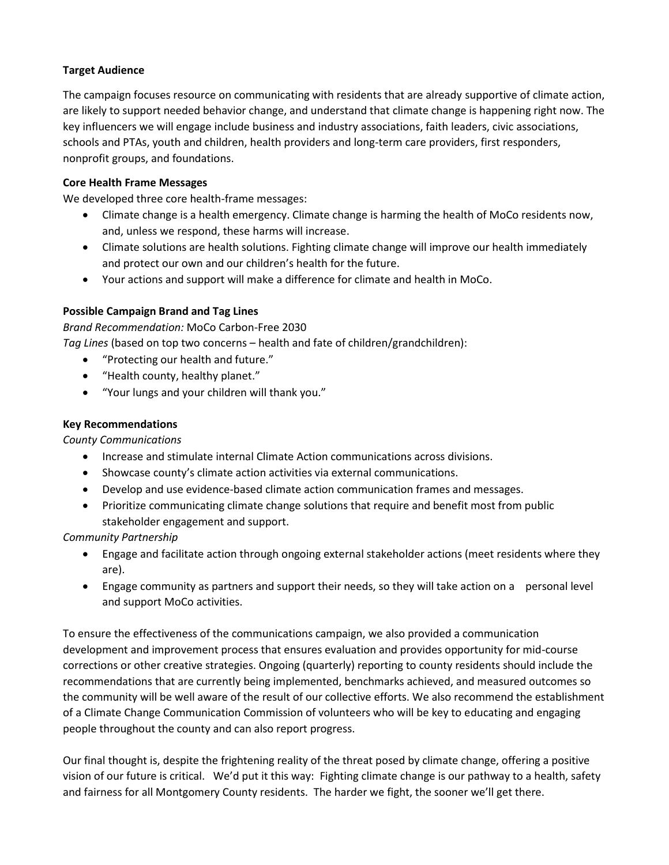## **Target Audience**

The campaign focuses resource on communicating with residents that are already supportive of climate action, are likely to support needed behavior change, and understand that climate change is happening right now. The key influencers we will engage include business and industry associations, faith leaders, civic associations, schools and PTAs, youth and children, health providers and long-term care providers, first responders, nonprofit groups, and foundations.

## **Core Health Frame Messages**

We developed three core health-frame messages:

- Climate change is a health emergency. Climate change is harming the health of MoCo residents now, and, unless we respond, these harms will increase.
- Climate solutions are health solutions. Fighting climate change will improve our health immediately and protect our own and our children's health for the future.
- Your actions and support will make a difference for climate and health in MoCo.

## **Possible Campaign Brand and Tag Lines**

*Brand Recommendation:* MoCo Carbon-Free 2030

*Tag Lines* (based on top two concerns – health and fate of children/grandchildren):

- "Protecting our health and future."
- "Health county, healthy planet."
- "Your lungs and your children will thank you."

## **Key Recommendations**

*County Communications*

- Increase and stimulate internal Climate Action communications across divisions.
- Showcase county's climate action activities via external communications.
- Develop and use evidence-based climate action communication frames and messages.
- Prioritize communicating climate change solutions that require and benefit most from public stakeholder engagement and support.

*Community Partnership*

- Engage and facilitate action through ongoing external stakeholder actions (meet residents where they are).
- Engage community as partners and support their needs, so they will take action on a personal level and support MoCo activities.

To ensure the effectiveness of the communications campaign, we also provided a communication development and improvement process that ensures evaluation and provides opportunity for mid-course corrections or other creative strategies. Ongoing (quarterly) reporting to county residents should include the recommendations that are currently being implemented, benchmarks achieved, and measured outcomes so the community will be well aware of the result of our collective efforts. We also recommend the establishment of a Climate Change Communication Commission of volunteers who will be key to educating and engaging people throughout the county and can also report progress.

Our final thought is, despite the frightening reality of the threat posed by climate change, offering a positive vision of our future is critical. We'd put it this way: Fighting climate change is our pathway to a health, safety and fairness for all Montgomery County residents. The harder we fight, the sooner we'll get there.